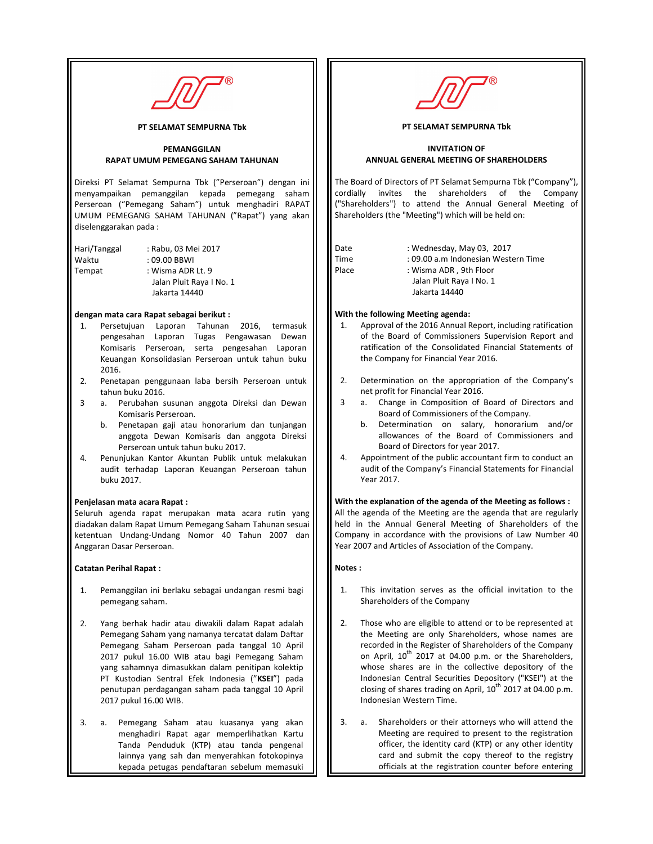

PT SELAMAT SEMPURNA Tbk

### PEMANGGILAN RAPAT UMUM PEMEGANG SAHAM TAHUNAN

Direksi PT Selamat Sempurna Tbk ("Perseroan") dengan ini menyampaikan pemanggilan kepada pemegang saham Perseroan ("Pemegang Saham") untuk menghadiri RAPAT UMUM PEMEGANG SAHAM TAHUNAN ("Rapat") yang akan diselenggarakan pada :

Hari/Tanggal : Rabu, 03 Mei 2017 Waktu : 09.00 BBWI Tempat : Wisma ADR Lt. 9 Jalan Pluit Raya I No. 1 Jakarta 14440

### dengan mata cara Rapat sebagai berikut :

- 1. Persetujuan Laporan Tahunan 2016, termasuk pengesahan Laporan Tugas Pengawasan Dewan Komisaris Perseroan, serta pengesahan Laporan Keuangan Konsolidasian Perseroan untuk tahun buku 2016.
- 2. Penetapan penggunaan laba bersih Perseroan untuk tahun buku 2016.
- 3 a. Perubahan susunan anggota Direksi dan Dewan Komisaris Perseroan.
	- b. Penetapan gaji atau honorarium dan tunjangan anggota Dewan Komisaris dan anggota Direksi Perseroan untuk tahun buku 2017.
- 4. Penunjukan Kantor Akuntan Publik untuk melakukan audit terhadap Laporan Keuangan Perseroan tahun buku 2017.

#### Penjelasan mata acara Rapat :

Seluruh agenda rapat merupakan mata acara rutin yang diadakan dalam Rapat Umum Pemegang Saham Tahunan sesuai ketentuan Undang-Undang Nomor 40 Tahun 2007 dan Anggaran Dasar Perseroan.

# Catatan Perihal Rapat :

- 1. Pemanggilan ini berlaku sebagai undangan resmi bagi pemegang saham.
- 2. Yang berhak hadir atau diwakili dalam Rapat adalah Pemegang Saham yang namanya tercatat dalam Daftar Pemegang Saham Perseroan pada tanggal 10 April 2017 pukul 16.00 WIB atau bagi Pemegang Saham yang sahamnya dimasukkan dalam penitipan kolektip PT Kustodian Sentral Efek Indonesia ("KSEI") pada penutupan perdagangan saham pada tanggal 10 April 2017 pukul 16.00 WIB.
- 3. a. Pemegang Saham atau kuasanya yang akan menghadiri Rapat agar memperlihatkan Kartu Tanda Penduduk (KTP) atau tanda pengenal lainnya yang sah dan menyerahkan fotokopinya kepada petugas pendaftaran sebelum memasuki



### PT SELAMAT SEMPURNA Tbk

### INVITATION OF ANNUAL GENERAL MEETING OF SHAREHOLDERS

The Board of Directors of PT Selamat Sempurna Tbk ("Company"), cordially invites the shareholders of the Company ("Shareholders") to attend the Annual General Meeting of Shareholders (the "Meeting") which will be held on:

| Date  | : Wednesday, May 03, 2017   |
|-------|-----------------------------|
| Time  | : 09.00 a.m Indonesian West |
| Place | : Wisma ADR, 9th Floor      |
|       | Jalan Pluit Raya I No. 1    |

Time : 09.00 a.m Indonesian Western Time Place : Wisma ADR, 9th Floor Jalan Pluit Raya I No. 1 Jakarta 14440

# With the following Meeting agenda:

- 1. Approval of the 2016 Annual Report, including ratification of the Board of Commissioners Supervision Report and ratification of the Consolidated Financial Statements of the Company for Financial Year 2016.
- 2. Determination on the appropriation of the Company's net profit for Financial Year 2016.
- 3 a. Change in Composition of Board of Directors and Board of Commissioners of the Company.
	- b. Determination on salary, honorarium and/or allowances of the Board of Commissioners and Board of Directors for year 2017.
- 4. Appointment of the public accountant firm to conduct an audit of the Company's Financial Statements for Financial Year 2017.

# With the explanation of the agenda of the Meeting as follows :

All the agenda of the Meeting are the agenda that are regularly held in the Annual General Meeting of Shareholders of the Company in accordance with the provisions of Law Number 40 Year 2007 and Articles of Association of the Company.

# Notes :

- 1. This invitation serves as the official invitation to the Shareholders of the Company
- 2. Those who are eligible to attend or to be represented at the Meeting are only Shareholders, whose names are recorded in the Register of Shareholders of the Company on April,  $10^{th}$  2017 at 04.00 p.m. or the Shareholders, whose shares are in the collective depository of the Indonesian Central Securities Depository ("KSEI") at the closing of shares trading on April,  $10^{th}$  2017 at 04.00 p.m. Indonesian Western Time.
- 3. a. Shareholders or their attorneys who will attend the Meeting are required to present to the registration officer, the identity card (KTP) or any other identity card and submit the copy thereof to the registry officials at the registration counter before entering